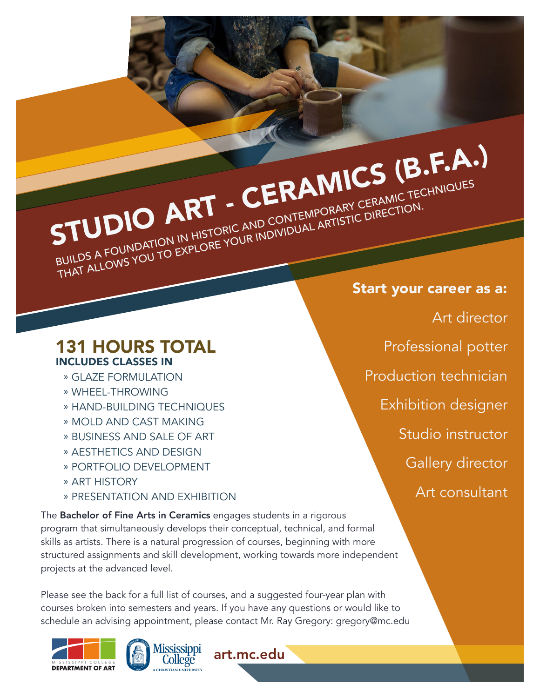STUDIO ART - CERAMICS (B.F.A.) BUILDS A FOUNDATION IN HISTORIC AND CONTEMPORARY CERAMIC TECHNIQUES BUILDS A POUNDATION IN HISTORIC AND CONTEINFORANT CENTIMETED

### 131 HOURS TOTAL INCLUDES CLASSES IN

- » GLAZE FORMULATION
- » WHEEL-THROWING
- » HAND-BUILDING TECHNIQUES
- » MOLD AND CAST MAKING
- » BUSINESS AND SALE OF ART
- » AESTHETICS AND DESIGN
- » PORTFOLIO DEVELOPMENT
- » ART HISTORY
- » PRESENTATION AND EXHIBITION

The Bachelor of Fine Arts in Ceramics engages students in a rigorous program that simultaneously develops their conceptual, technical, and formal skills as artists. There is a natural progression of courses, beginning with more structured assignments and skill development, working towards more independent projects at the advanced level.

Please see the back for a full list of courses, and a suggested four-year plan with courses broken into semesters and years. If you have any questions or would like to schedule an advising appointment, please contact Mr. Ray Gregory: gregory@mc.edu







Start your career as a: Art director Professional potter Production technician Exhibition designer Studio instructor Gallery director Art consultant